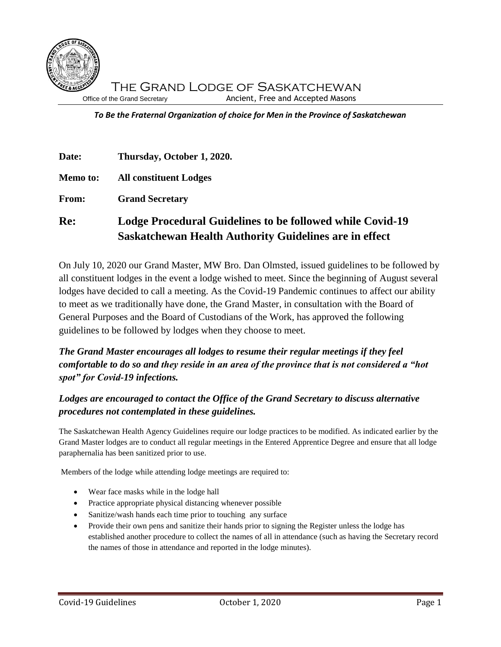

*To Be the Fraternal Organization of choice for Men in the Province of Saskatchewan*

| Date:           | Thursday, October 1, 2020.                                                                                                 |
|-----------------|----------------------------------------------------------------------------------------------------------------------------|
| <b>Memo to:</b> | <b>All constituent Lodges</b>                                                                                              |
| <b>From:</b>    | <b>Grand Secretary</b>                                                                                                     |
| Re:             | Lodge Procedural Guidelines to be followed while Covid-19<br><b>Saskatchewan Health Authority Guidelines are in effect</b> |

On July 10, 2020 our Grand Master, MW Bro. Dan Olmsted, issued guidelines to be followed by all constituent lodges in the event a lodge wished to meet. Since the beginning of August several lodges have decided to call a meeting. As the Covid-19 Pandemic continues to affect our ability to meet as we traditionally have done, the Grand Master, in consultation with the Board of General Purposes and the Board of Custodians of the Work, has approved the following guidelines to be followed by lodges when they choose to meet.

# *The Grand Master encourages all lodges to resume their regular meetings if they feel comfortable to do so and they reside in an area of the province that is not considered a "hot spot" for Covid-19 infections.*

## *Lodges are encouraged to contact the Office of the Grand Secretary to discuss alternative procedures not contemplated in these guidelines.*

The Saskatchewan Health Agency Guidelines require our lodge practices to be modified. As indicated earlier by the Grand Master lodges are to conduct all regular meetings in the Entered Apprentice Degree and ensure that all lodge paraphernalia has been sanitized prior to use.

Members of the lodge while attending lodge meetings are required to:

- Wear face masks while in the lodge hall
- Practice appropriate physical distancing whenever possible
- Sanitize/wash hands each time prior to touching any surface
- Provide their own pens and sanitize their hands prior to signing the Register unless the lodge has established another procedure to collect the names of all in attendance (such as having the Secretary record the names of those in attendance and reported in the lodge minutes).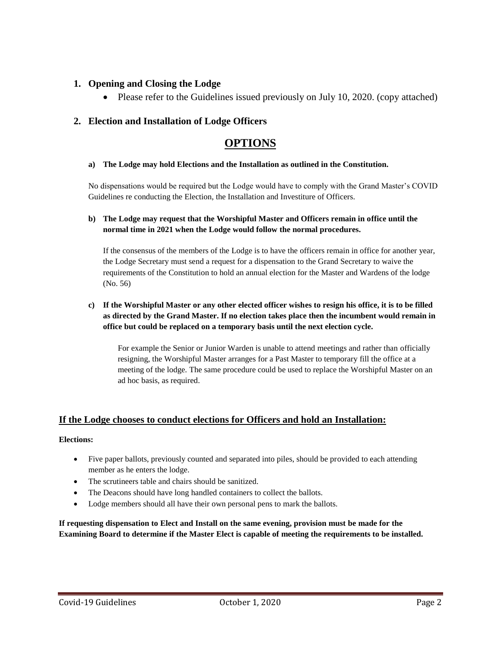## **1. Opening and Closing the Lodge**

• Please refer to the Guidelines issued previously on July 10, 2020. (copy attached)

## **2. Election and Installation of Lodge Officers**

# **OPTIONS**

#### **a) The Lodge may hold Elections and the Installation as outlined in the Constitution.**

No dispensations would be required but the Lodge would have to comply with the Grand Master's COVID Guidelines re conducting the Election, the Installation and Investiture of Officers.

#### **b) The Lodge may request that the Worshipful Master and Officers remain in office until the normal time in 2021 when the Lodge would follow the normal procedures.**

If the consensus of the members of the Lodge is to have the officers remain in office for another year, the Lodge Secretary must send a request for a dispensation to the Grand Secretary to waive the requirements of the Constitution to hold an annual election for the Master and Wardens of the lodge (No. 56)

#### **c) If the Worshipful Master or any other elected officer wishes to resign his office, it is to be filled as directed by the Grand Master. If no election takes place then the incumbent would remain in office but could be replaced on a temporary basis until the next election cycle.**

For example the Senior or Junior Warden is unable to attend meetings and rather than officially resigning, the Worshipful Master arranges for a Past Master to temporary fill the office at a meeting of the lodge. The same procedure could be used to replace the Worshipful Master on an ad hoc basis, as required.

## **If the Lodge chooses to conduct elections for Officers and hold an Installation:**

#### **Elections:**

- Five paper ballots, previously counted and separated into piles, should be provided to each attending member as he enters the lodge.
- The scrutineers table and chairs should be sanitized.
- The Deacons should have long handled containers to collect the ballots.
- Lodge members should all have their own personal pens to mark the ballots.

#### **If requesting dispensation to Elect and Install on the same evening, provision must be made for the Examining Board to determine if the Master Elect is capable of meeting the requirements to be installed.**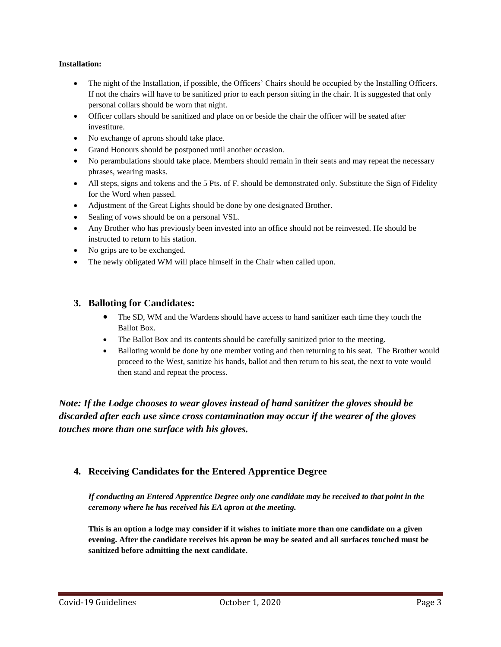#### **Installation:**

- The night of the Installation, if possible, the Officers' Chairs should be occupied by the Installing Officers. If not the chairs will have to be sanitized prior to each person sitting in the chair. It is suggested that only personal collars should be worn that night.
- Officer collars should be sanitized and place on or beside the chair the officer will be seated after investiture.
- No exchange of aprons should take place.
- Grand Honours should be postponed until another occasion.
- No perambulations should take place. Members should remain in their seats and may repeat the necessary phrases, wearing masks.
- All steps, signs and tokens and the 5 Pts. of F. should be demonstrated only. Substitute the Sign of Fidelity for the Word when passed.
- Adjustment of the Great Lights should be done by one designated Brother.
- Sealing of vows should be on a personal VSL.
- Any Brother who has previously been invested into an office should not be reinvested. He should be instructed to return to his station.
- No grips are to be exchanged.
- The newly obligated WM will place himself in the Chair when called upon.

## **3. Balloting for Candidates:**

- The SD, WM and the Wardens should have access to hand sanitizer each time they touch the Ballot Box.
- The Ballot Box and its contents should be carefully sanitized prior to the meeting.
- Balloting would be done by one member voting and then returning to his seat. The Brother would proceed to the West, sanitize his hands, ballot and then return to his seat, the next to vote would then stand and repeat the process.

*Note: If the Lodge chooses to wear gloves instead of hand sanitizer the gloves should be discarded after each use since cross contamination may occur if the wearer of the gloves touches more than one surface with his gloves.*

## **4. Receiving Candidates for the Entered Apprentice Degree**

*If conducting an Entered Apprentice Degree only one candidate may be received to that point in the ceremony where he has received his EA apron at the meeting.*

**This is an option a lodge may consider if it wishes to initiate more than one candidate on a given evening. After the candidate receives his apron be may be seated and all surfaces touched must be sanitized before admitting the next candidate.**